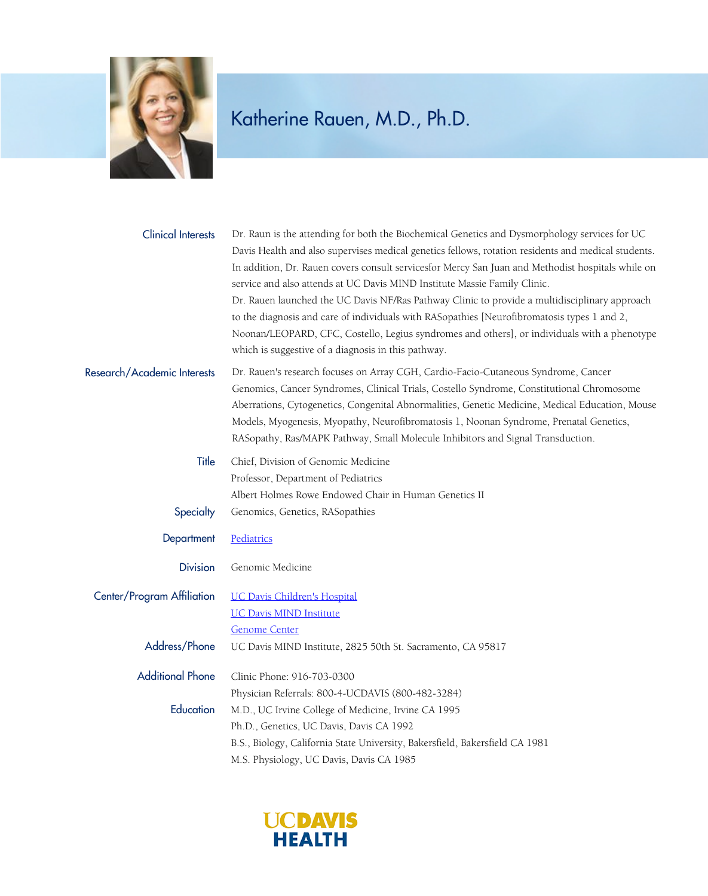

| <b>Clinical Interests</b>   | Dr. Raun is the attending for both the Biochemical Genetics and Dysmorphology services for UC<br>Davis Health and also supervises medical genetics fellows, rotation residents and medical students.<br>In addition, Dr. Rauen covers consult servicesfor Mercy San Juan and Methodist hospitals while on<br>service and also attends at UC Davis MIND Institute Massie Family Clinic.<br>Dr. Rauen launched the UC Davis NF/Ras Pathway Clinic to provide a multidisciplinary approach<br>to the diagnosis and care of individuals with RASopathies [Neurofibromatosis types 1 and 2,<br>Noonan/LEOPARD, CFC, Costello, Legius syndromes and others], or individuals with a phenotype<br>which is suggestive of a diagnosis in this pathway. |
|-----------------------------|-----------------------------------------------------------------------------------------------------------------------------------------------------------------------------------------------------------------------------------------------------------------------------------------------------------------------------------------------------------------------------------------------------------------------------------------------------------------------------------------------------------------------------------------------------------------------------------------------------------------------------------------------------------------------------------------------------------------------------------------------|
| Research/Academic Interests | Dr. Rauen's research focuses on Array CGH, Cardio-Facio-Cutaneous Syndrome, Cancer<br>Genomics, Cancer Syndromes, Clinical Trials, Costello Syndrome, Constitutional Chromosome<br>Aberrations, Cytogenetics, Congenital Abnormalities, Genetic Medicine, Medical Education, Mouse<br>Models, Myogenesis, Myopathy, Neurofibromatosis 1, Noonan Syndrome, Prenatal Genetics,<br>RASopathy, Ras/MAPK Pathway, Small Molecule Inhibitors and Signal Transduction.                                                                                                                                                                                                                                                                               |
| Title                       | Chief, Division of Genomic Medicine<br>Professor, Department of Pediatrics<br>Albert Holmes Rowe Endowed Chair in Human Genetics II                                                                                                                                                                                                                                                                                                                                                                                                                                                                                                                                                                                                           |
| Specialty                   | Genomics, Genetics, RASopathies                                                                                                                                                                                                                                                                                                                                                                                                                                                                                                                                                                                                                                                                                                               |
| Department                  | Pediatrics                                                                                                                                                                                                                                                                                                                                                                                                                                                                                                                                                                                                                                                                                                                                    |
| <b>Division</b>             | Genomic Medicine                                                                                                                                                                                                                                                                                                                                                                                                                                                                                                                                                                                                                                                                                                                              |
| Center/Program Affiliation  | <b>UC Davis Children's Hospital</b><br><b>UC Davis MIND Institute</b><br><b>Genome Center</b>                                                                                                                                                                                                                                                                                                                                                                                                                                                                                                                                                                                                                                                 |
| Address/Phone               | UC Davis MIND Institute, 2825 50th St. Sacramento, CA 95817                                                                                                                                                                                                                                                                                                                                                                                                                                                                                                                                                                                                                                                                                   |
| <b>Additional Phone</b>     | Clinic Phone: 916-703-0300<br>Physician Referrals: 800-4-UCDAVIS (800-482-3284)                                                                                                                                                                                                                                                                                                                                                                                                                                                                                                                                                                                                                                                               |
| Education                   | M.D., UC Irvine College of Medicine, Irvine CA 1995<br>Ph.D., Genetics, UC Davis, Davis CA 1992<br>B.S., Biology, California State University, Bakersfield, Bakersfield CA 1981<br>M.S. Physiology, UC Davis, Davis CA 1985                                                                                                                                                                                                                                                                                                                                                                                                                                                                                                                   |

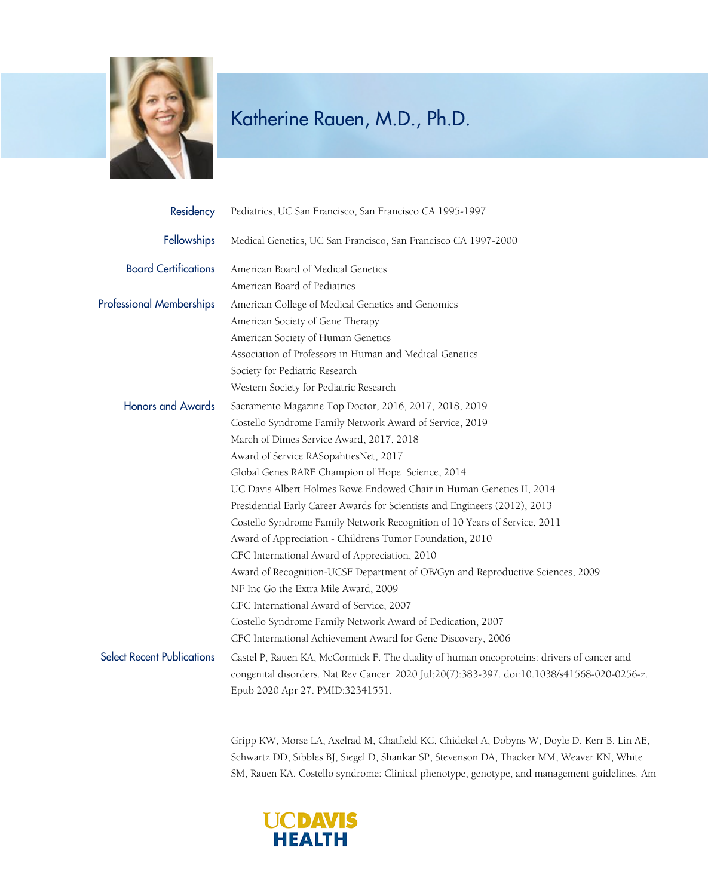

| Residency                         | Pediatrics, UC San Francisco, San Francisco CA 1995-1997                                     |
|-----------------------------------|----------------------------------------------------------------------------------------------|
| Fellowships                       | Medical Genetics, UC San Francisco, San Francisco CA 1997-2000                               |
| <b>Board Certifications</b>       | American Board of Medical Genetics                                                           |
|                                   | American Board of Pediatrics                                                                 |
| <b>Professional Memberships</b>   | American College of Medical Genetics and Genomics                                            |
|                                   | American Society of Gene Therapy                                                             |
|                                   | American Society of Human Genetics                                                           |
|                                   | Association of Professors in Human and Medical Genetics                                      |
|                                   | Society for Pediatric Research                                                               |
|                                   | Western Society for Pediatric Research                                                       |
| <b>Honors and Awards</b>          | Sacramento Magazine Top Doctor, 2016, 2017, 2018, 2019                                       |
|                                   | Costello Syndrome Family Network Award of Service, 2019                                      |
|                                   | March of Dimes Service Award, 2017, 2018                                                     |
|                                   | Award of Service RASopahtiesNet, 2017                                                        |
|                                   | Global Genes RARE Champion of Hope Science, 2014                                             |
|                                   | UC Davis Albert Holmes Rowe Endowed Chair in Human Genetics II, 2014                         |
|                                   | Presidential Early Career Awards for Scientists and Engineers (2012), 2013                   |
|                                   | Costello Syndrome Family Network Recognition of 10 Years of Service, 2011                    |
|                                   | Award of Appreciation - Childrens Tumor Foundation, 2010                                     |
|                                   | CFC International Award of Appreciation, 2010                                                |
|                                   | Award of Recognition-UCSF Department of OB/Gyn and Reproductive Sciences, 2009               |
|                                   | NF Inc Go the Extra Mile Award, 2009                                                         |
|                                   | CFC International Award of Service, 2007                                                     |
|                                   | Costello Syndrome Family Network Award of Dedication, 2007                                   |
|                                   | CFC International Achievement Award for Gene Discovery, 2006                                 |
| <b>Select Recent Publications</b> | Castel P, Rauen KA, McCormick F. The duality of human oncoproteins: drivers of cancer and    |
|                                   | congenital disorders. Nat Rev Cancer. 2020 Jul;20(7):383-397. doi:10.1038/s41568-020-0256-z. |
|                                   | Epub 2020 Apr 27. PMID:32341551.                                                             |

Gripp KW, Morse LA, Axelrad M, Chatfield KC, Chidekel A, Dobyns W, Doyle D, Kerr B, Lin AE, Schwartz DD, Sibbles BJ, Siegel D, Shankar SP, Stevenson DA, Thacker MM, Weaver KN, White SM, Rauen KA. Costello syndrome: Clinical phenotype, genotype, and management guidelines. Am

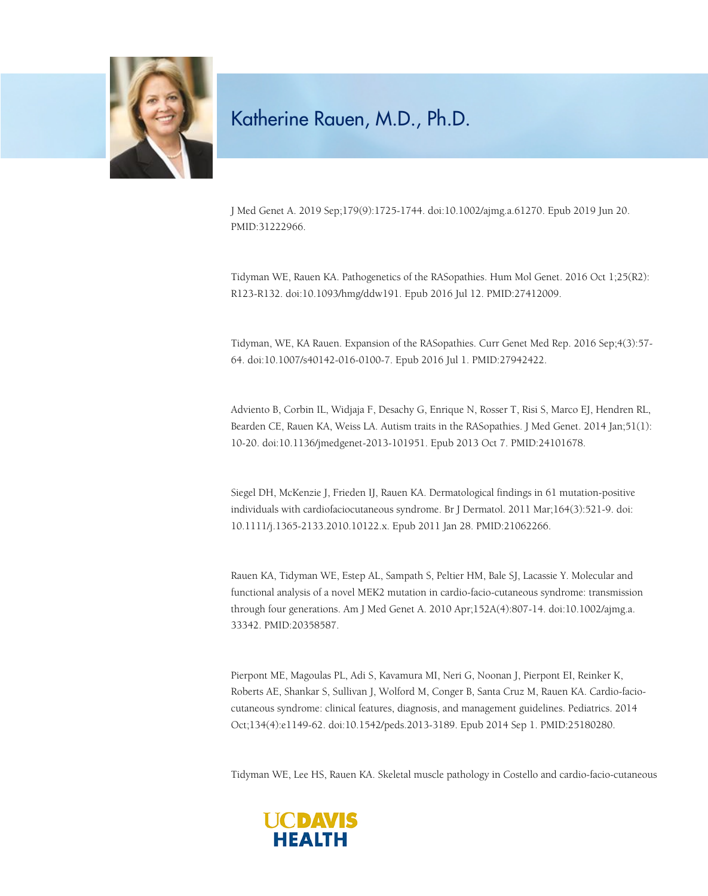

J Med Genet A. 2019 Sep;179(9):1725-1744. doi:10.1002/ajmg.a.61270. Epub 2019 Jun 20. PMID:31222966.

Tidyman WE, Rauen KA. Pathogenetics of the RASopathies. Hum Mol Genet. 2016 Oct 1;25(R2): R123-R132. doi:10.1093/hmg/ddw191. Epub 2016 Jul 12. PMID:27412009.

Tidyman, WE, KA Rauen. Expansion of the RASopathies. Curr Genet Med Rep. 2016 Sep;4(3):57- 64. doi:10.1007/s40142-016-0100-7. Epub 2016 Jul 1. PMID:27942422.

Adviento B, Corbin IL, Widjaja F, Desachy G, Enrique N, Rosser T, Risi S, Marco EJ, Hendren RL, Bearden CE, Rauen KA, Weiss LA. Autism traits in the RASopathies. J Med Genet. 2014 Jan;51(1): 10-20. doi:10.1136/jmedgenet-2013-101951. Epub 2013 Oct 7. PMID:24101678.

Siegel DH, McKenzie J, Frieden IJ, Rauen KA. Dermatological findings in 61 mutation-positive individuals with cardiofaciocutaneous syndrome. Br J Dermatol. 2011 Mar;164(3):521-9. doi: 10.1111/j.1365-2133.2010.10122.x. Epub 2011 Jan 28. PMID:21062266.

Rauen KA, Tidyman WE, Estep AL, Sampath S, Peltier HM, Bale SJ, Lacassie Y. Molecular and functional analysis of a novel MEK2 mutation in cardio-facio-cutaneous syndrome: transmission through four generations. Am J Med Genet A. 2010 Apr;152A(4):807-14. doi:10.1002/ajmg.a. 33342. PMID:20358587.

Pierpont ME, Magoulas PL, Adi S, Kavamura MI, Neri G, Noonan J, Pierpont EI, Reinker K, Roberts AE, Shankar S, Sullivan J, Wolford M, Conger B, Santa Cruz M, Rauen KA. Cardio-faciocutaneous syndrome: clinical features, diagnosis, and management guidelines. Pediatrics. 2014 Oct;134(4):e1149-62. doi:10.1542/peds.2013-3189. Epub 2014 Sep 1. PMID:25180280.

Tidyman WE, Lee HS, Rauen KA. Skeletal muscle pathology in Costello and cardio-facio-cutaneous